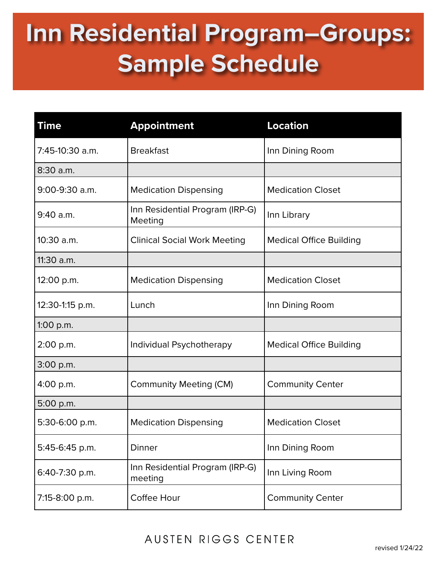## **Inn Residential Program–Groups: Sample Schedule**

| Time            | <b>Appointment</b>                         | <b>Location</b>                |
|-----------------|--------------------------------------------|--------------------------------|
| 7:45-10:30 a.m. | <b>Breakfast</b>                           | Inn Dining Room                |
| 8:30 a.m.       |                                            |                                |
| 9:00-9:30 a.m.  | <b>Medication Dispensing</b>               | <b>Medication Closet</b>       |
| 9:40 a.m.       | Inn Residential Program (IRP-G)<br>Meeting | Inn Library                    |
| 10:30 a.m.      | <b>Clinical Social Work Meeting</b>        | <b>Medical Office Building</b> |
| 11:30 a.m.      |                                            |                                |
| 12:00 p.m.      | <b>Medication Dispensing</b>               | <b>Medication Closet</b>       |
| 12:30-1:15 p.m. | Lunch                                      | Inn Dining Room                |
| $1:00$ p.m.     |                                            |                                |
| 2:00 p.m.       | Individual Psychotherapy                   | <b>Medical Office Building</b> |
| 3:00 p.m.       |                                            |                                |
| 4:00 p.m.       | <b>Community Meeting (CM)</b>              | <b>Community Center</b>        |
| 5:00 p.m.       |                                            |                                |
| 5:30-6:00 p.m.  | <b>Medication Dispensing</b>               | <b>Medication Closet</b>       |
| 5:45-6:45 p.m.  | <b>Dinner</b>                              | Inn Dining Room                |
| 6:40-7:30 p.m.  | Inn Residential Program (IRP-G)<br>meeting | Inn Living Room                |
| 7:15-8:00 p.m.  | Coffee Hour                                | <b>Community Center</b>        |